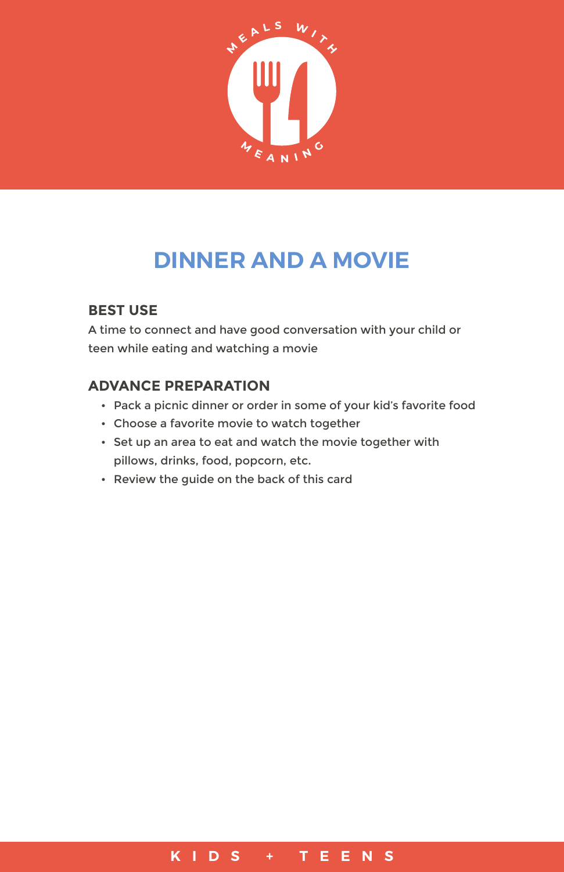

# **DINNER AND A MOVIE**

## **BEST USE**

A time to connect and have good conversation with your child or teen while eating and watching a movie

### **ADVANCE PREPARATION**

- Pack a picnic dinner or order in some of your kid's favorite food
- Choose a favorite movie to watch together
- Set up an area to eat and watch the movie together with pillows, drinks, food, popcorn, etc.
- Review the guide on the back of this card